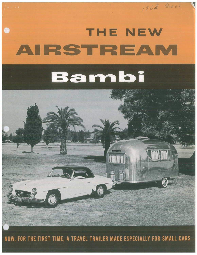## THE NEWAIRSTREAM Bambi

6

1962 Model

NOW, FOR THE FIRST TIME, A TRAVEL TRAILER MADE ESPECIALLY FOR SMALL CARS